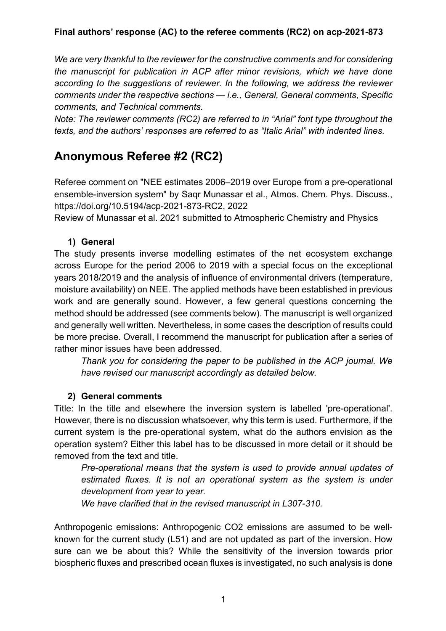*We are very thankful to the reviewer for the constructive comments and for considering the manuscript for publication in ACP after minor revisions, which we have done according to the suggestions of reviewer. In the following, we address the reviewer comments under the respective sections — i.e., General, General comments, Specific comments, and Technical comments.* 

*Note: The reviewer comments (RC2) are referred to in "Arial" font type throughout the texts, and the authors' responses are referred to as "Italic Arial" with indented lines.* 

# **Anonymous Referee #2 (RC2)**

Referee comment on "NEE estimates 2006–2019 over Europe from a pre-operational ensemble-inversion system" by Saqr Munassar et al., Atmos. Chem. Phys. Discuss., https://doi.org/10.5194/acp-2021-873-RC2, 2022

Review of Munassar et al. 2021 submitted to Atmospheric Chemistry and Physics

## **1) General**

The study presents inverse modelling estimates of the net ecosystem exchange across Europe for the period 2006 to 2019 with a special focus on the exceptional years 2018/2019 and the analysis of influence of environmental drivers (temperature, moisture availability) on NEE. The applied methods have been established in previous work and are generally sound. However, a few general questions concerning the method should be addressed (see comments below). The manuscript is well organized and generally well written. Nevertheless, in some cases the description of results could be more precise. Overall, I recommend the manuscript for publication after a series of rather minor issues have been addressed.

*Thank you for considering the paper to be published in the ACP journal. We have revised our manuscript accordingly as detailed below.*

## **2) General comments**

Title: In the title and elsewhere the inversion system is labelled 'pre-operational'. However, there is no discussion whatsoever, why this term is used. Furthermore, if the current system is the pre-operational system, what do the authors envision as the operation system? Either this label has to be discussed in more detail or it should be removed from the text and title.

*Pre-operational means that the system is used to provide annual updates of estimated fluxes. It is not an operational system as the system is under development from year to year.* 

*We have clarified that in the revised manuscript in L307-310.*

Anthropogenic emissions: Anthropogenic CO2 emissions are assumed to be wellknown for the current study (L51) and are not updated as part of the inversion. How sure can we be about this? While the sensitivity of the inversion towards prior biospheric fluxes and prescribed ocean fluxes is investigated, no such analysis is done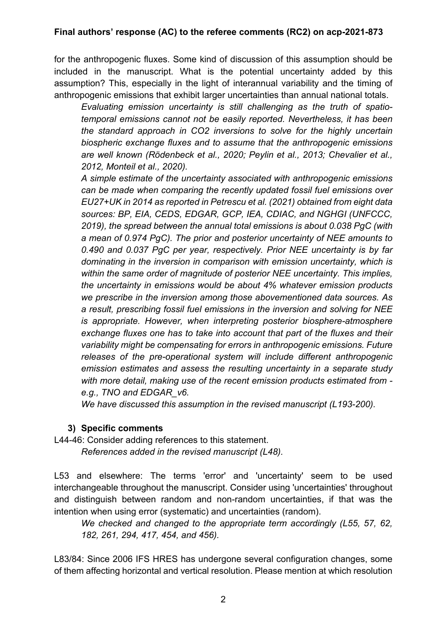for the anthropogenic fluxes. Some kind of discussion of this assumption should be included in the manuscript. What is the potential uncertainty added by this assumption? This, especially in the light of interannual variability and the timing of anthropogenic emissions that exhibit larger uncertainties than annual national totals.

*Evaluating emission uncertainty is still challenging as the truth of spatiotemporal emissions cannot not be easily reported. Nevertheless, it has been the standard approach in CO2 inversions to solve for the highly uncertain biospheric exchange fluxes and to assume that the anthropogenic emissions are well known (Rödenbeck et al., 2020; Peylin et al., 2013; Chevalier et al., 2012, Monteil et al., 2020).*

*A simple estimate of the uncertainty associated with anthropogenic emissions can be made when comparing the recently updated fossil fuel emissions over EU27+UK in 2014 as reported in Petrescu et al. (2021) obtained from eight data sources: BP, EIA, CEDS, EDGAR, GCP, IEA, CDIAC, and NGHGI (UNFCCC, 2019), the spread between the annual total emissions is about 0.038 PgC (with a mean of 0.974 PgC). The prior and posterior uncertainty of NEE amounts to 0.490 and 0.037 PgC per year, respectively. Prior NEE uncertainty is by far dominating in the inversion in comparison with emission uncertainty, which is within the same order of magnitude of posterior NEE uncertainty. This implies, the uncertainty in emissions would be about 4% whatever emission products we prescribe in the inversion among those abovementioned data sources. As a result, prescribing fossil fuel emissions in the inversion and solving for NEE is appropriate. However, when interpreting posterior biosphere-atmosphere exchange fluxes one has to take into account that part of the fluxes and their variability might be compensating for errors in anthropogenic emissions. Future releases of the pre-operational system will include different anthropogenic emission estimates and assess the resulting uncertainty in a separate study with more detail, making use of the recent emission products estimated from e.g., TNO and EDGAR\_v6.* 

*We have discussed this assumption in the revised manuscript (L193-200).*

#### **3) Specific comments**

L44-46: Consider adding references to this statement. *References added in the revised manuscript (L48).*

L53 and elsewhere: The terms 'error' and 'uncertainty' seem to be used interchangeable throughout the manuscript. Consider using 'uncertainties' throughout and distinguish between random and non-random uncertainties, if that was the intention when using error (systematic) and uncertainties (random).

*We checked and changed to the appropriate term accordingly (L55, 57, 62, 182, 261, 294, 417, 454, and 456).*

L83/84: Since 2006 IFS HRES has undergone several configuration changes, some of them affecting horizontal and vertical resolution. Please mention at which resolution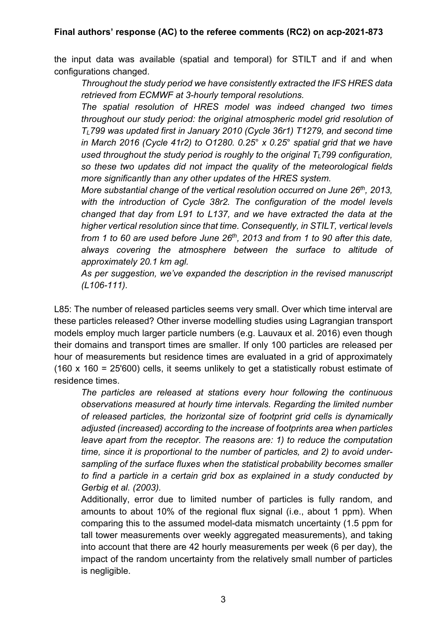the input data was available (spatial and temporal) for STILT and if and when configurations changed.

*Throughout the study period we have consistently extracted the IFS HRES data retrieved from ECMWF at 3-hourly temporal resolutions.*

*The spatial resolution of HRES model was indeed changed two times throughout our study period: the original atmospheric model grid resolution of TL799 was updated first in January 2010 (Cycle 36r1) T1279, and second time in March 2016 (Cycle 41r2) to O1280. 0.25*° *x 0.25*° *spatial grid that we have used throughout the study period is roughly to the original TL799 configuration, so these two updates did not impact the quality of the meteorological fields more significantly than any other updates of the HRES system.*

*More substantial change of the vertical resolution occurred on June 26th, 2013, with the introduction of Cycle 38r2. The configuration of the model levels changed that day from L91 to L137, and we have extracted the data at the higher vertical resolution since that time. Consequently, in STILT, vertical levels from 1 to 60 are used before June 26th, 2013 and from 1 to 90 after this date, always covering the atmosphere between the surface to altitude of approximately 20.1 km agl.*

*As per suggestion, we've expanded the description in the revised manuscript (L106-111).*

L85: The number of released particles seems very small. Over which time interval are these particles released? Other inverse modelling studies using Lagrangian transport models employ much larger particle numbers (e.g. Lauvaux et al. 2016) even though their domains and transport times are smaller. If only 100 particles are released per hour of measurements but residence times are evaluated in a grid of approximately (160 x 160 = 25'600) cells, it seems unlikely to get a statistically robust estimate of residence times.

*The particles are released at stations every hour following the continuous observations measured at hourly time intervals. Regarding the limited number of released particles, the horizontal size of footprint grid cells is dynamically adjusted (increased) according to the increase of footprints area when particles leave apart from the receptor. The reasons are: 1) to reduce the computation time, since it is proportional to the number of particles, and 2) to avoid undersampling of the surface fluxes when the statistical probability becomes smaller to find a particle in a certain grid box as explained in a study conducted by Gerbig et al. (2003).*

Additionally, error due to limited number of particles is fully random, and amounts to about 10% of the regional flux signal (i.e., about 1 ppm). When comparing this to the assumed model-data mismatch uncertainty (1.5 ppm for tall tower measurements over weekly aggregated measurements), and taking into account that there are 42 hourly measurements per week (6 per day), the impact of the random uncertainty from the relatively small number of particles is negligible.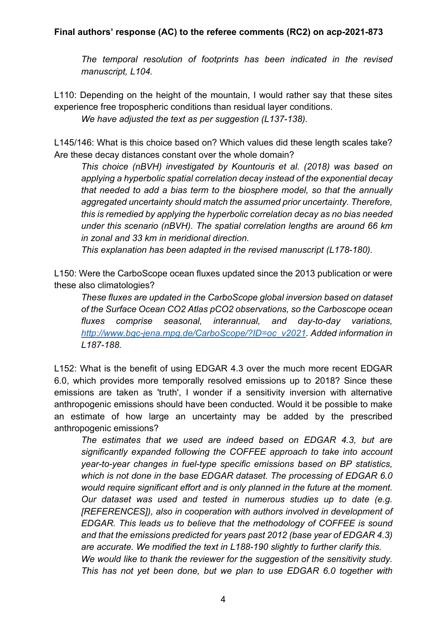*The temporal resolution of footprints has been indicated in the revised manuscript, L104.*

L110: Depending on the height of the mountain, I would rather say that these sites experience free tropospheric conditions than residual layer conditions.

*We have adjusted the text as per suggestion (L137-138).*

L145/146: What is this choice based on? Which values did these length scales take? Are these decay distances constant over the whole domain?

*This choice (nBVH) investigated by Kountouris et al. (2018) was based on applying a hyperbolic spatial correlation decay instead of the exponential decay that needed to add a bias term to the biosphere model, so that the annually aggregated uncertainty should match the assumed prior uncertainty. Therefore, this is remedied by applying the hyperbolic correlation decay as no bias needed under this scenario (nBVH). The spatial correlation lengths are around 66 km in zonal and 33 km in meridional direction.*

*This explanation has been adapted in the revised manuscript (L178-180).*

L150: Were the CarboScope ocean fluxes updated since the 2013 publication or were these also climatologies?

*These fluxes are updated in the CarboScope global inversion based on dataset of the Surface Ocean CO2 Atlas pCO2 observations, so the Carboscope ocean fluxes comprise seasonal, interannual, and day-to-day variations, http://www.bgc-jena.mpg.de/CarboScope/?ID=oc\_v2021. Added information in L187-188.*

L152: What is the benefit of using EDGAR 4.3 over the much more recent EDGAR 6.0, which provides more temporally resolved emissions up to 2018? Since these emissions are taken as 'truth', I wonder if a sensitivity inversion with alternative anthropogenic emissions should have been conducted. Would it be possible to make an estimate of how large an uncertainty may be added by the prescribed anthropogenic emissions?

*The estimates that we used are indeed based on EDGAR 4.3, but are significantly expanded following the COFFEE approach to take into account year-to-year changes in fuel-type specific emissions based on BP statistics, which is not done in the base EDGAR dataset. The processing of EDGAR 6.0 would require significant effort and is only planned in the future at the moment. Our dataset was used and tested in numerous studies up to date (e.g. [REFERENCES]), also in cooperation with authors involved in development of EDGAR. This leads us to believe that the methodology of COFFEE is sound and that the emissions predicted for years past 2012 (base year of EDGAR 4.3) are accurate. We modified the text in L188-190 slightly to further clarify this. We would like to thank the reviewer for the suggestion of the sensitivity study. This has not yet been done, but we plan to use EDGAR 6.0 together with*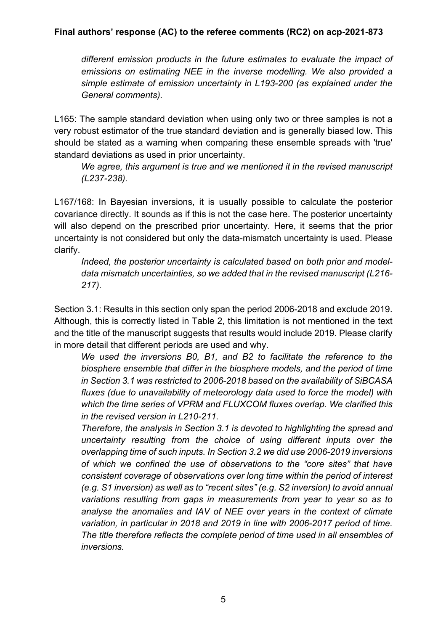*different emission products in the future estimates to evaluate the impact of emissions on estimating NEE in the inverse modelling. We also provided a simple estimate of emission uncertainty in L193-200 (as explained under the General comments).*

L165: The sample standard deviation when using only two or three samples is not a very robust estimator of the true standard deviation and is generally biased low. This should be stated as a warning when comparing these ensemble spreads with 'true' standard deviations as used in prior uncertainty.

*We agree, this argument is true and we mentioned it in the revised manuscript (L237-238).* 

L167/168: In Bayesian inversions, it is usually possible to calculate the posterior covariance directly. It sounds as if this is not the case here. The posterior uncertainty will also depend on the prescribed prior uncertainty. Here, it seems that the prior uncertainty is not considered but only the data-mismatch uncertainty is used. Please clarify.

*Indeed, the posterior uncertainty is calculated based on both prior and modeldata mismatch uncertainties, so we added that in the revised manuscript (L216- 217).*

Section 3.1: Results in this section only span the period 2006-2018 and exclude 2019. Although, this is correctly listed in Table 2, this limitation is not mentioned in the text and the title of the manuscript suggests that results would include 2019. Please clarify in more detail that different periods are used and why.

*We used the inversions B0, B1, and B2 to facilitate the reference to the biosphere ensemble that differ in the biosphere models, and the period of time in Section 3.1 was restricted to 2006-2018 based on the availability of SiBCASA fluxes (due to unavailability of meteorology data used to force the model) with which the time series of VPRM and FLUXCOM fluxes overlap. We clarified this in the revised version in L210-211.*

*Therefore, the analysis in Section 3.1 is devoted to highlighting the spread and uncertainty resulting from the choice of using different inputs over the overlapping time of such inputs. In Section 3.2 we did use 2006-2019 inversions of which we confined the use of observations to the "core sites" that have consistent coverage of observations over long time within the period of interest (e.g. S1 inversion) as well as to "recent sites" (e.g. S2 inversion) to avoid annual variations resulting from gaps in measurements from year to year so as to analyse the anomalies and IAV of NEE over years in the context of climate variation, in particular in 2018 and 2019 in line with 2006-2017 period of time. The title therefore reflects the complete period of time used in all ensembles of inversions.*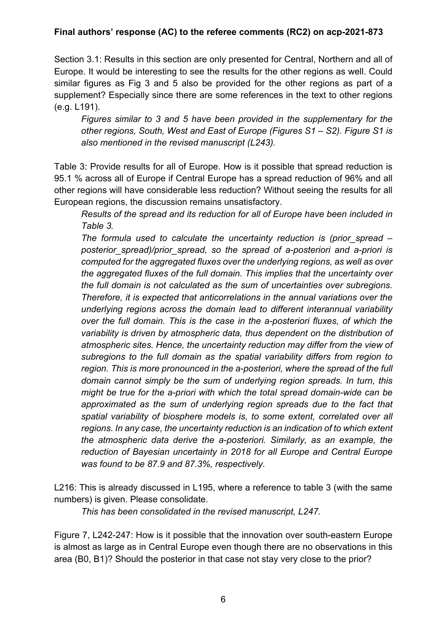Section 3.1: Results in this section are only presented for Central, Northern and all of Europe. It would be interesting to see the results for the other regions as well. Could similar figures as Fig 3 and 5 also be provided for the other regions as part of a supplement? Especially since there are some references in the text to other regions (e.g. L191).

*Figures similar to 3 and 5 have been provided in the supplementary for the other regions, South, West and East of Europe (Figures S1 – S2). Figure S1 is also mentioned in the revised manuscript (L243).*

Table 3: Provide results for all of Europe. How is it possible that spread reduction is 95.1 % across all of Europe if Central Europe has a spread reduction of 96% and all other regions will have considerable less reduction? Without seeing the results for all European regions, the discussion remains unsatisfactory.

*Results of the spread and its reduction for all of Europe have been included in Table 3.*

*The formula used to calculate the uncertainty reduction is (prior\_spread – posterior\_spread)/prior\_spread, so the spread of a-posteriori and a-priori is computed for the aggregated fluxes over the underlying regions, as well as over the aggregated fluxes of the full domain. This implies that the uncertainty over the full domain is not calculated as the sum of uncertainties over subregions. Therefore, it is expected that anticorrelations in the annual variations over the underlying regions across the domain lead to different interannual variability over the full domain. This is the case in the a-posteriori fluxes, of which the variability is driven by atmospheric data, thus dependent on the distribution of atmospheric sites. Hence, the uncertainty reduction may differ from the view of subregions to the full domain as the spatial variability differs from region to region. This is more pronounced in the a-posteriori, where the spread of the full domain cannot simply be the sum of underlying region spreads. In turn, this might be true for the a-priori with which the total spread domain-wide can be approximated as the sum of underlying region spreads due to the fact that spatial variability of biosphere models is, to some extent, correlated over all regions. In any case, the uncertainty reduction is an indication of to which extent the atmospheric data derive the a-posteriori. Similarly, as an example, the reduction of Bayesian uncertainty in 2018 for all Europe and Central Europe was found to be 87.9 and 87.3%, respectively.* 

L216: This is already discussed in L195, where a reference to table 3 (with the same numbers) is given. Please consolidate.

*This has been consolidated in the revised manuscript, L247.*

Figure 7, L242-247: How is it possible that the innovation over south-eastern Europe is almost as large as in Central Europe even though there are no observations in this area (B0, B1)? Should the posterior in that case not stay very close to the prior?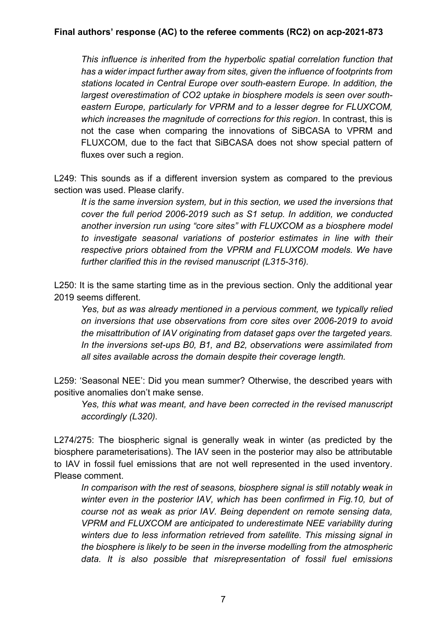*This influence is inherited from the hyperbolic spatial correlation function that has a wider impact further away from sites, given the influence of footprints from stations located in Central Europe over south-eastern Europe. In addition, the largest overestimation of CO2 uptake in biosphere models is seen over southeastern Europe, particularly for VPRM and to a lesser degree for FLUXCOM, which increases the magnitude of corrections for this region*. In contrast, this is not the case when comparing the innovations of SiBCASA to VPRM and FLUXCOM, due to the fact that SiBCASA does not show special pattern of fluxes over such a region.

L249: This sounds as if a different inversion system as compared to the previous section was used. Please clarify.

*It is the same inversion system, but in this section, we used the inversions that cover the full period 2006-2019 such as S1 setup. In addition, we conducted another inversion run using "core sites" with FLUXCOM as a biosphere model to investigate seasonal variations of posterior estimates in line with their respective priors obtained from the VPRM and FLUXCOM models. We have further clarified this in the revised manuscript (L315-316).*

L250: It is the same starting time as in the previous section. Only the additional year 2019 seems different.

*Yes, but as was already mentioned in a pervious comment, we typically relied on inversions that use observations from core sites over 2006-2019 to avoid the misattribution of IAV originating from dataset gaps over the targeted years. In the inversions set-ups B0, B1, and B2, observations were assimilated from all sites available across the domain despite their coverage length.* 

L259: 'Seasonal NEE': Did you mean summer? Otherwise, the described years with positive anomalies don't make sense.

*Yes, this what was meant, and have been corrected in the revised manuscript accordingly (L320).*

L274/275: The biospheric signal is generally weak in winter (as predicted by the biosphere parameterisations). The IAV seen in the posterior may also be attributable to IAV in fossil fuel emissions that are not well represented in the used inventory. Please comment.

In comparison with the rest of seasons, biosphere signal is still notably weak in *winter even in the posterior IAV, which has been confirmed in Fig.10, but of course not as weak as prior IAV. Being dependent on remote sensing data, VPRM and FLUXCOM are anticipated to underestimate NEE variability during winters due to less information retrieved from satellite. This missing signal in the biosphere is likely to be seen in the inverse modelling from the atmospheric data. It is also possible that misrepresentation of fossil fuel emissions*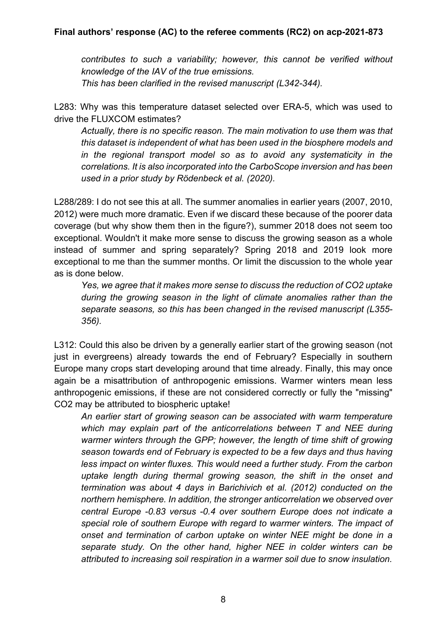*contributes to such a variability; however, this cannot be verified without knowledge of the IAV of the true emissions. This has been clarified in the revised manuscript (L342-344).*

L283: Why was this temperature dataset selected over ERA-5, which was used to drive the FLUXCOM estimates?

*Actually, there is no specific reason. The main motivation to use them was that this dataset is independent of what has been used in the biosphere models and in the regional transport model so as to avoid any systematicity in the correlations. It is also incorporated into the CarboScope inversion and has been used in a prior study by Rödenbeck et al. (2020).*

L288/289: I do not see this at all. The summer anomalies in earlier years (2007, 2010, 2012) were much more dramatic. Even if we discard these because of the poorer data coverage (but why show them then in the figure?), summer 2018 does not seem too exceptional. Wouldn't it make more sense to discuss the growing season as a whole instead of summer and spring separately? Spring 2018 and 2019 look more exceptional to me than the summer months. Or limit the discussion to the whole year as is done below.

*Yes, we agree that it makes more sense to discuss the reduction of CO2 uptake during the growing season in the light of climate anomalies rather than the separate seasons, so this has been changed in the revised manuscript (L355- 356).*

L312: Could this also be driven by a generally earlier start of the growing season (not just in evergreens) already towards the end of February? Especially in southern Europe many crops start developing around that time already. Finally, this may once again be a misattribution of anthropogenic emissions. Warmer winters mean less anthropogenic emissions, if these are not considered correctly or fully the "missing" CO2 may be attributed to biospheric uptake!

*An earlier start of growing season can be associated with warm temperature which may explain part of the anticorrelations between T and NEE during warmer winters through the GPP; however, the length of time shift of growing season towards end of February is expected to be a few days and thus having less impact on winter fluxes. This would need a further study. From the carbon uptake length during thermal growing season, the shift in the onset and termination was about 4 days in Barichivich et al. (2012) conducted on the northern hemisphere. In addition, the stronger anticorrelation we observed over central Europe -0.83 versus -0.4 over southern Europe does not indicate a special role of southern Europe with regard to warmer winters. The impact of onset and termination of carbon uptake on winter NEE might be done in a separate study. On the other hand, higher NEE in colder winters can be attributed to increasing soil respiration in a warmer soil due to snow insulation.*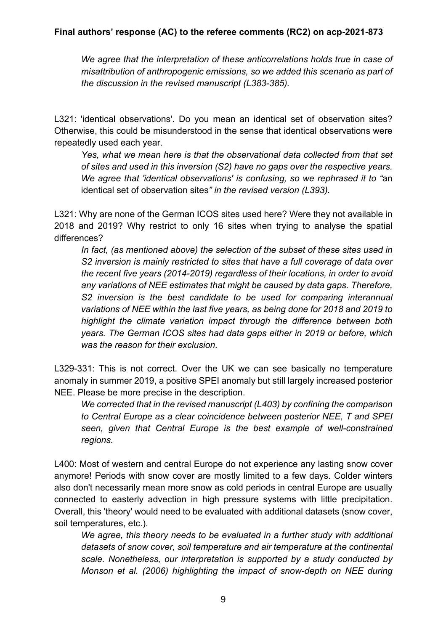*We agree that the interpretation of these anticorrelations holds true in case of misattribution of anthropogenic emissions, so we added this scenario as part of the discussion in the revised manuscript (L383-385).*

L321: 'identical observations'. Do you mean an identical set of observation sites? Otherwise, this could be misunderstood in the sense that identical observations were repeatedly used each year.

*Yes, what we mean here is that the observational data collected from that set of sites and used in this inversion (S2) have no gaps over the respective years. We agree that 'identical observations' is confusing, so we rephrased it to "*an identical set of observation sites*" in the revised version (L393).*

L321: Why are none of the German ICOS sites used here? Were they not available in 2018 and 2019? Why restrict to only 16 sites when trying to analyse the spatial differences?

*In fact, (as mentioned above) the selection of the subset of these sites used in S2 inversion is mainly restricted to sites that have a full coverage of data over the recent five years (2014-2019) regardless of their locations, in order to avoid any variations of NEE estimates that might be caused by data gaps. Therefore, S2 inversion is the best candidate to be used for comparing interannual variations of NEE within the last five years, as being done for 2018 and 2019 to highlight the climate variation impact through the difference between both years. The German ICOS sites had data gaps either in 2019 or before, which was the reason for their exclusion.* 

L329-331: This is not correct. Over the UK we can see basically no temperature anomaly in summer 2019, a positive SPEI anomaly but still largely increased posterior NEE. Please be more precise in the description.

*We corrected that in the revised manuscript (L403) by confining the comparison to Central Europe as a clear coincidence between posterior NEE, T and SPEI seen, given that Central Europe is the best example of well-constrained regions.*

L400: Most of western and central Europe do not experience any lasting snow cover anymore! Periods with snow cover are mostly limited to a few days. Colder winters also don't necessarily mean more snow as cold periods in central Europe are usually connected to easterly advection in high pressure systems with little precipitation. Overall, this 'theory' would need to be evaluated with additional datasets (snow cover, soil temperatures, etc.).

*We agree, this theory needs to be evaluated in a further study with additional datasets of snow cover, soil temperature and air temperature at the continental scale. Nonetheless, our interpretation is supported by a study conducted by Monson et al. (2006) highlighting the impact of snow-depth on NEE during*